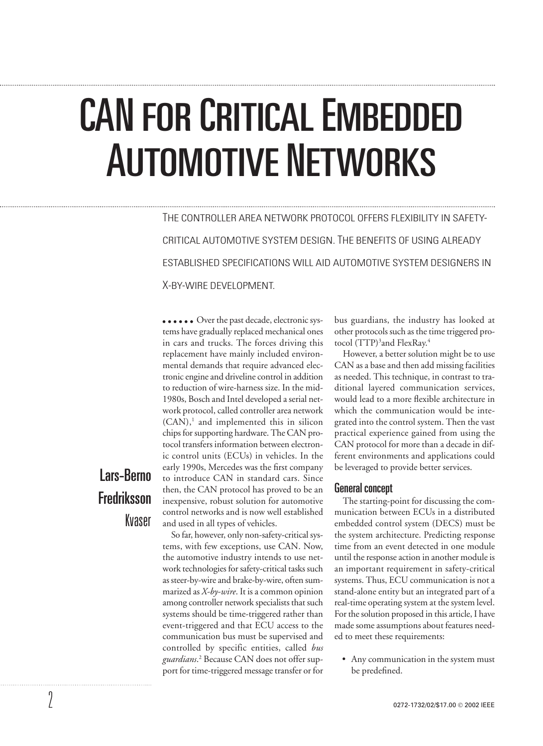# CAN FOR CRITICAL EMBEDDED AUTOMOTIVE NETWORKS

THE CONTROLLER AREA NETWORK PROTOCOL OFFERS FLEXIBILITY IN SAFETY-CRITICAL AUTOMOTIVE SYSTEM DESIGN. THE BENEFITS OF USING ALREADY ESTABLISHED SPECIFICATIONS WILL AID AUTOMOTIVE SYSTEM DESIGNERS IN X-BY-WIRE DEVELOPMENT.

Over the past decade, electronic systems have gradually replaced mechanical ones in cars and trucks. The forces driving this replacement have mainly included environmental demands that require advanced electronic engine and driveline control in addition to reduction of wire-harness size. In the mid-1980s, Bosch and Intel developed a serial network protocol, called controller area network  $(CAN)$ ,<sup>1</sup> and implemented this in silicon chips for supporting hardware. The CAN protocol transfers information between electronic control units (ECUs) in vehicles. In the early 1990s, Mercedes was the first company to introduce CAN in standard cars. Since then, the CAN protocol has proved to be an inexpensive, robust solution for automotive control networks and is now well established and used in all types of vehicles.

So far, however, only non-safety-critical systems, with few exceptions, use CAN. Now, the automotive industry intends to use network technologies for safety-critical tasks such as steer-by-wire and brake-by-wire, often summarized as *X-by-wire*. It is a common opinion among controller network specialists that such systems should be time-triggered rather than event-triggered and that ECU access to the communication bus must be supervised and controlled by specific entities, called *bus guardians*. <sup>2</sup> Because CAN does not offer support for time-triggered message transfer or for

bus guardians, the industry has looked at other protocols such as the time triggered protocol (TTP)<sup>3</sup>and FlexRay.<sup>4</sup>

However, a better solution might be to use CAN as a base and then add missing facilities as needed. This technique, in contrast to traditional layered communication services, would lead to a more flexible architecture in which the communication would be integrated into the control system. Then the vast practical experience gained from using the CAN protocol for more than a decade in different environments and applications could be leveraged to provide better services.

#### General concept

The starting-point for discussing the communication between ECUs in a distributed embedded control system (DECS) must be the system architecture. Predicting response time from an event detected in one module until the response action in another module is an important requirement in safety-critical systems. Thus, ECU communication is not a stand-alone entity but an integrated part of a real-time operating system at the system level. For the solution proposed in this article, I have made some assumptions about features needed to meet these requirements:

• Any communication in the system must be predefined.

## Lars-Berno **Fredriksson** Kvaser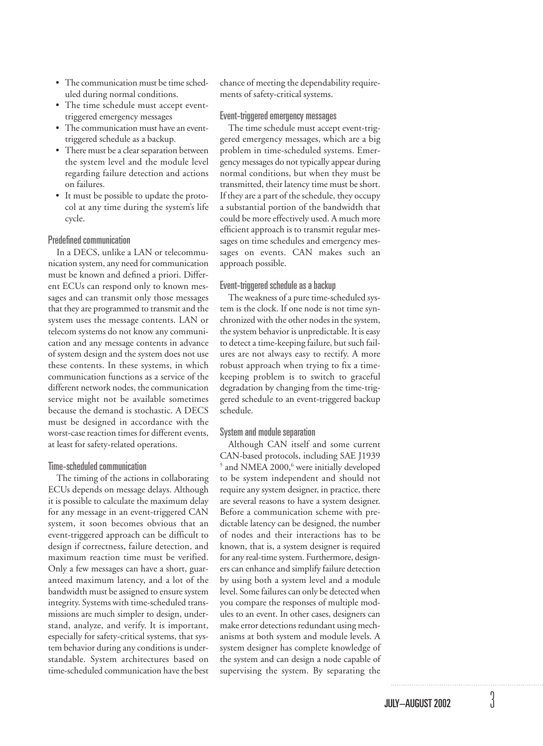- The communication must be time scheduled during normal conditions.
- The time schedule must accept eventtriggered emergency messages
- The communication must have an eventtriggered schedule as a backup.
- There must be a clear separation between the system level and the module level regarding failure detection and actions on failures.
- It must be possible to update the protocol at any time during the system's life cycle.

#### Predefined communication

In a DECS, unlike a LAN or telecommunication system, any need for communication must be known and defined a priori. Different ECUs can respond only to known messages and can transmit only those messages that they are programmed to transmit and the system uses the message contents. LAN or telecom systems do not know any communication and any message contents in advance of system design and the system does not use these contents. In these systems, in which communication functions as a service of the different network nodes, the communication service might not be available sometimes because the demand is stochastic. A DECS must be designed in accordance with the worst-case reaction times for different events, at least for safety-related operations.

#### Time-scheduled communication

The timing of the actions in collaborating ECUs depends on message delays. Although it is possible to calculate the maximum delay for any message in an event-triggered CAN system, it soon becomes obvious that an event-triggered approach can be difficult to design if correctness, failure detection, and maximum reaction time must be verified. Only a few messages can have a short, guaranteed maximum latency, and a lot of the bandwidth must be assigned to ensure system integrity. Systems with time-scheduled transmissions are much simpler to design, understand, analyze, and verify. It is important, especially for safety-critical systems, that system behavior during any conditions is understandable. System architectures based on time-scheduled communication have the best chance of meeting the dependability requirements of safety-critical systems.

#### Event-triggered emergency messages

The time schedule must accept event-triggered emergency messages, which are a big problem in time-scheduled systems. Emergency messages do not typically appear during normal conditions, but when they must be transmitted, their latency time must be short. If they are a part of the schedule, they occupy a substantial portion of the bandwidth that could be more effectively used. A much more efficient approach is to transmit regular messages on time schedules and emergency messages on events. CAN makes such an approach possible.

#### Event-triggered schedule as a backup

The weakness of a pure time-scheduled system is the clock. If one node is not time synchronized with the other nodes in the system, the system behavior is unpredictable. It is easy to detect a time-keeping failure, but such failures are not always easy to rectify. A more robust approach when trying to fix a timekeeping problem is to switch to graceful degradation by changing from the time-triggered schedule to an event-triggered backup schedule.

#### System and module separation

Although CAN itself and some current CAN-based protocols, including SAE J1939 <sup>5</sup> and NMEA 2000,<sup>6</sup> were initially developed to be system independent and should not require any system designer, in practice, there are several reasons to have a system designer. Before a communication scheme with predictable latency can be designed, the number of nodes and their interactions has to be known, that is, a system designer is required for any real-time system. Furthermore, designers can enhance and simplify failure detection by using both a system level and a module level. Some failures can only be detected when you compare the responses of multiple modules to an event. In other cases, designers can make error detections redundant using mechanisms at both system and module levels. A system designer has complete knowledge of the system and can design a node capable of supervising the system. By separating the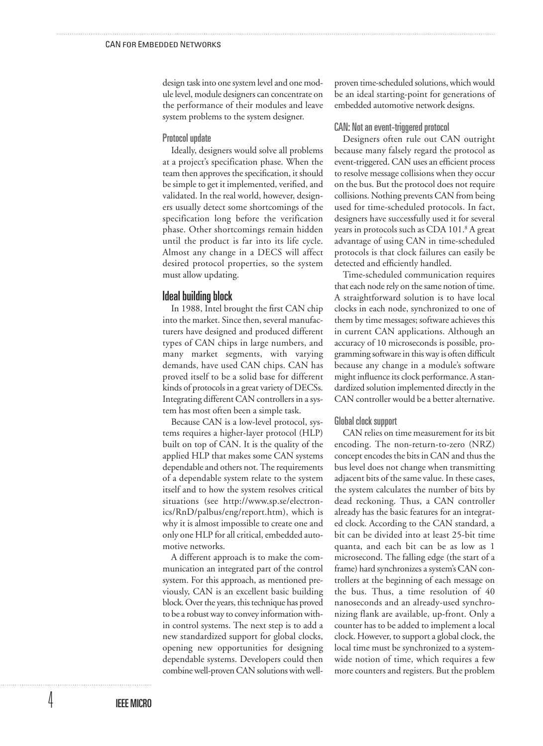design task into one system level and one module level, module designers can concentrate on the performance of their modules and leave system problems to the system designer.

#### Protocol update

Ideally, designers would solve all problems at a project's specification phase. When the team then approves the specification, it should be simple to get it implemented, verified, and validated. In the real world, however, designers usually detect some shortcomings of the specification long before the verification phase. Other shortcomings remain hidden until the product is far into its life cycle. Almost any change in a DECS will affect desired protocol properties, so the system must allow updating.

#### Ideal building block

In 1988, Intel brought the first CAN chip into the market. Since then, several manufacturers have designed and produced different types of CAN chips in large numbers, and many market segments, with varying demands, have used CAN chips. CAN has proved itself to be a solid base for different kinds of protocols in a great variety of DECSs. Integrating different CAN controllers in a system has most often been a simple task.

Because CAN is a low-level protocol, systems requires a higher-layer protocol (HLP) built on top of CAN. It is the quality of the applied HLP that makes some CAN systems dependable and others not. The requirements of a dependable system relate to the system itself and to how the system resolves critical situations (see http://www.sp.se/electronics/RnD/palbus/eng/report.htm), which is why it is almost impossible to create one and only one HLP for all critical, embedded automotive networks.

A different approach is to make the communication an integrated part of the control system. For this approach, as mentioned previously, CAN is an excellent basic building block. Over the years, this technique has proved to be a robust way to convey information within control systems. The next step is to add a new standardized support for global clocks, opening new opportunities for designing dependable systems. Developers could then combine well-proven CAN solutions with wellproven time-scheduled solutions, which would be an ideal starting-point for generations of embedded automotive network designs.

#### CAN: Not an event-triggered protocol

Designers often rule out CAN outright because many falsely regard the protocol as event-triggered. CAN uses an efficient process to resolve message collisions when they occur on the bus. But the protocol does not require collisions. Nothing prevents CAN from being used for time-scheduled protocols. In fact, designers have successfully used it for several years in protocols such as CDA 101.<sup>8</sup> A great advantage of using CAN in time-scheduled protocols is that clock failures can easily be detected and efficiently handled.

Time-scheduled communication requires that each node rely on the same notion of time. A straightforward solution is to have local clocks in each node, synchronized to one of them by time messages; software achieves this in current CAN applications. Although an accuracy of 10 microseconds is possible, programming software in this way is often difficult because any change in a module's software might influence its clock performance. A standardized solution implemented directly in the CAN controller would be a better alternative.

#### Global clock support

CAN relies on time measurement for its bit encoding. The non-return-to-zero (NRZ) concept encodes the bits in CAN and thus the bus level does not change when transmitting adjacent bits of the same value. In these cases, the system calculates the number of bits by dead reckoning. Thus, a CAN controller already has the basic features for an integrated clock. According to the CAN standard, a bit can be divided into at least 25-bit time quanta, and each bit can be as low as 1 microsecond. The falling edge (the start of a frame) hard synchronizes a system's CAN controllers at the beginning of each message on the bus. Thus, a time resolution of 40 nanoseconds and an already-used synchronizing flank are available, up-front. Only a counter has to be added to implement a local clock. However, to support a global clock, the local time must be synchronized to a systemwide notion of time, which requires a few more counters and registers. But the problem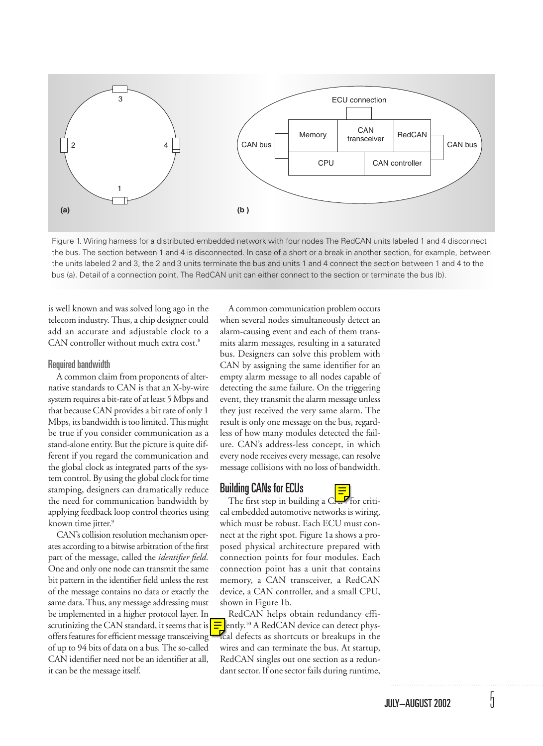

Figure 1. Wiring harness for a distributed embedded network with four nodes The RedCAN units labeled 1 and 4 disconnect the bus. The section between 1 and 4 is disconnected. In case of a short or a break in another section, for example, between the units labeled 2 and 3, the 2 and 3 units terminate the bus and units 1 and 4 connect the section between 1 and 4 to the bus (a). Detail of a connection point. The RedCAN unit can either connect to the section or terminate the bus (b).

is well known and was solved long ago in the telecom industry. Thus, a chip designer could add an accurate and adjustable clock to a CAN controller without much extra cost.<sup>8</sup>

#### Required bandwidth

A common claim from proponents of alternative standards to CAN is that an X-by-wire system requires a bit-rate of at least 5 Mbps and that because CAN provides a bit rate of only 1 Mbps, its bandwidth is too limited. This might be true if you consider communication as a stand-alone entity. But the picture is quite different if you regard the communication and the global clock as integrated parts of the system control. By using the global clock for time stamping, designers can dramatically reduce the need for communication bandwidth by applying feedback loop control theories using known time jitter.<sup>9</sup>

CAN's collision resolution mechanism operates according to a bitwise arbitration of the first part of the message, called the *identifier field*. One and only one node can transmit the same bit pattern in the identifier field unless the rest of the message contains no data or exactly the same data. Thus, any message addressing must be implemented in a higher protocol layer. In scrutinizing the CAN standard, it seems that is offers features for efficient message transceiving of up to 94 bits of data on a bus. The so-called CAN identifier need not be an identifier at all, it can be the message itself.

A common communication problem occurs when several nodes simultaneously detect an alarm-causing event and each of them transmits alarm messages, resulting in a saturated bus. Designers can solve this problem with CAN by assigning the same identifier for an empty alarm message to all nodes capable of detecting the same failure. On the triggering event, they transmit the alarm message unless they just received the very same alarm. The result is only one message on the bus, regardless of how many modules detected the failure. CAN's address-less concept, in which every node receives every message, can resolve message collisions with no loss of bandwidth.

#### Building CANs for ECUs

The first step in building a  $C_{\overline{A}}$  for critical embedded automotive networks is wiring, which must be robust. Each ECU must connect at the right spot. Figure 1a shows a proposed physical architecture prepared with connection points for four modules. Each connection point has a unit that contains memory, a CAN transceiver, a RedCAN device, a CAN controller, and a small CPU, shown in Figure 1b.

RedCAN helps obtain redundancy effiently.<sup>10</sup> A RedCAN device can detect physical defects as shortcuts or breakups in the wires and can terminate the bus. At startup, RedCAN singles out one section as a redundant sector. If one sector fails during runtime,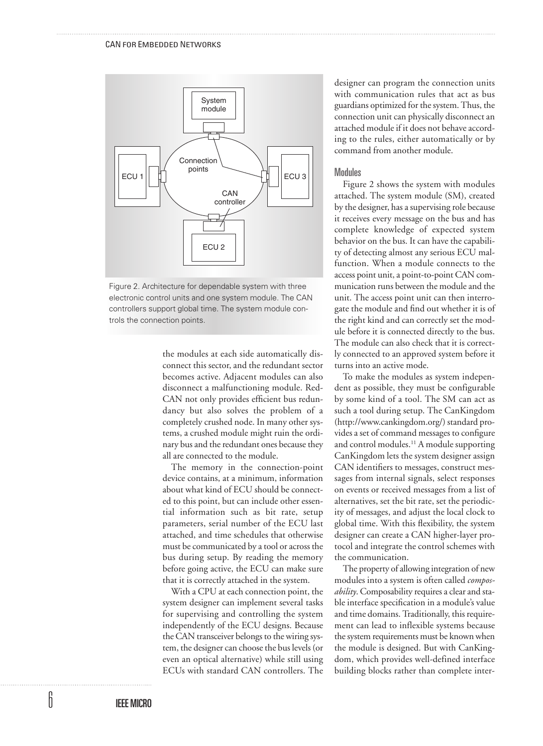

Figure 2. Architecture for dependable system with three electronic control units and one system module. The CAN controllers support global time. The system module controls the connection points.

the modules at each side automatically disconnect this sector, and the redundant sector becomes active. Adjacent modules can also disconnect a malfunctioning module. Red-CAN not only provides efficient bus redundancy but also solves the problem of a completely crushed node. In many other systems, a crushed module might ruin the ordinary bus and the redundant ones because they all are connected to the module.

The memory in the connection-point device contains, at a minimum, information about what kind of ECU should be connected to this point, but can include other essential information such as bit rate, setup parameters, serial number of the ECU last attached, and time schedules that otherwise must be communicated by a tool or across the bus during setup. By reading the memory before going active, the ECU can make sure that it is correctly attached in the system.

With a CPU at each connection point, the system designer can implement several tasks for supervising and controlling the system independently of the ECU designs. Because the CAN transceiver belongs to the wiring system, the designer can choose the bus levels (or even an optical alternative) while still using ECUs with standard CAN controllers. The designer can program the connection units with communication rules that act as bus guardians optimized for the system. Thus, the connection unit can physically disconnect an attached module if it does not behave according to the rules, either automatically or by command from another module.

#### **Modules**

Figure 2 shows the system with modules attached. The system module (SM), created by the designer, has a supervising role because it receives every message on the bus and has complete knowledge of expected system behavior on the bus. It can have the capability of detecting almost any serious ECU malfunction. When a module connects to the access point unit, a point-to-point CAN communication runs between the module and the unit. The access point unit can then interrogate the module and find out whether it is of the right kind and can correctly set the module before it is connected directly to the bus. The module can also check that it is correctly connected to an approved system before it turns into an active mode.

To make the modules as system independent as possible, they must be configurable by some kind of a tool. The SM can act as such a tool during setup. The CanKingdom (http://www.cankingdom.org/) standard provides a set of command messages to configure and control modules.11 A module supporting CanKingdom lets the system designer assign CAN identifiers to messages, construct messages from internal signals, select responses on events or received messages from a list of alternatives, set the bit rate, set the periodicity of messages, and adjust the local clock to global time. With this flexibility, the system designer can create a CAN higher-layer protocol and integrate the control schemes with the communication.

The property of allowing integration of new modules into a system is often called *composability*. Composability requires a clear and stable interface specification in a module's value and time domains. Traditionally, this requirement can lead to inflexible systems because the system requirements must be known when the module is designed. But with CanKingdom, which provides well-defined interface building blocks rather than complete inter-

6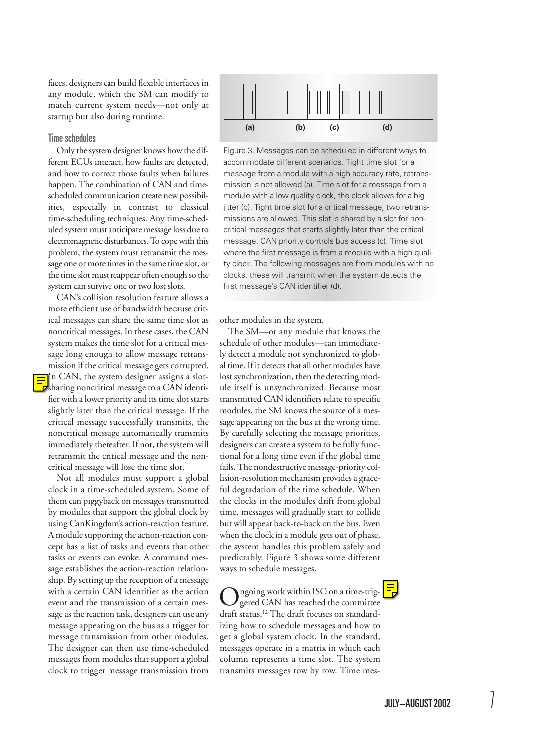faces, designers can build flexible interfaces in any module, which the SM can modify to match current system needs—not only at startup but also during runtime.

#### Time schedules

Only the system designer knows how the different ECUs interact, how faults are detected, and how to correct those faults when failures happen. The combination of CAN and timescheduled communication create new possibilities, especially in contrast to classical time-scheduling techniques. Any time-scheduled system must anticipate message loss due to electromagnetic disturbances. To cope with this problem, the system must retransmit the message one or more times in the same time slot, or the time slot must reappear often enough so the system can survive one or two lost slots.

CAN's collision resolution feature allows a more efficient use of bandwidth because critical messages can share the same time slot as noncritical messages. In these cases, the CAN system makes the time slot for a critical message long enough to allow message retransmission if the critical message gets corrupted. In CAN, the system designer assigns a slot- $\nabla$ sharing noncritical message to a CAN identifier with a lower priority and its time slot starts slightly later than the critical message. If the critical message successfully transmits, the noncritical message automatically transmits immediately thereafter. If not, the system will retransmit the critical message and the noncritical message will lose the time slot.

Not all modules must support a global clock in a time-scheduled system. Some of them can piggyback on messages transmitted by modules that support the global clock by using CanKingdom's action-reaction feature. A module supporting the action-reaction concept has a list of tasks and events that other tasks or events can evoke. A command message establishes the action-reaction relationship. By setting up the reception of a message with a certain CAN identifier as the action event and the transmission of a certain message as the reaction task, designers can use any message appearing on the bus as a trigger for message transmission from other modules. The designer can then use time-scheduled messages from modules that support a global clock to trigger message transmission from



Figure 3. Messages can be scheduled in different ways to accommodate different scenarios. Tight time slot for a message from a module with a high accuracy rate, retransmission is not allowed (a). Time slot for a message from a module with a low quality clock, the clock allows for a big jitter (b). Tight time slot for a critical message, two retransmissions are allowed. This slot is shared by a slot for noncritical messages that starts slightly later than the critical message. CAN priority controls bus access (c). Time slot where the first message is from a module with a high quality clock. The following messages are from modules with no clocks, these will transmit when the system detects the first message's CAN identifier (d).

other modules in the system.

The SM—or any module that knows the schedule of other modules—can immediately detect a module not synchronized to global time. If it detects that all other modules have lost synchronization, then the detecting module itself is unsynchronized. Because most transmitted CAN identifiers relate to specific modules, the SM knows the source of a message appearing on the bus at the wrong time. By carefully selecting the message priorities, designers can create a system to be fully functional for a long time even if the global time fails. The nondestructive message-priority collision-resolution mechanism provides a graceful degradation of the time schedule. When the clocks in the modules drift from global time, messages will gradually start to collide but will appear back-to-back on the bus. Even when the clock in a module gets out of phase, the system handles this problem safely and predictably. Figure 3 shows some different ways to schedule messages.

ngoing work within ISO on a time-triggered CAN has reached the committee draft status.12 The draft focuses on standardizing how to schedule messages and how to get a global system clock. In the standard, messages operate in a matrix in which each column represents a time slot. The system transmits messages row by row. Time mes-

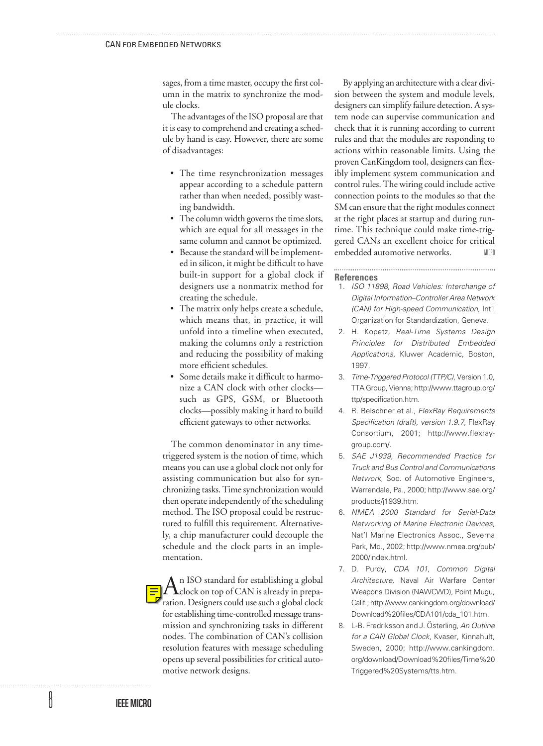sages, from a time master, occupy the first column in the matrix to synchronize the module clocks.

The advantages of the ISO proposal are that it is easy to comprehend and creating a schedule by hand is easy. However, there are some of disadvantages:

- The time resynchronization messages appear according to a schedule pattern rather than when needed, possibly wasting bandwidth.
- The column width governs the time slots, which are equal for all messages in the same column and cannot be optimized.
- Because the standard will be implemented in silicon, it might be difficult to have built-in support for a global clock if designers use a nonmatrix method for creating the schedule.
- The matrix only helps create a schedule, which means that, in practice, it will unfold into a timeline when executed, making the columns only a restriction and reducing the possibility of making more efficient schedules.
- Some details make it difficult to harmonize a CAN clock with other clocks such as GPS, GSM, or Bluetooth clocks—possibly making it hard to build efficient gateways to other networks.

The common denominator in any timetriggered system is the notion of time, which means you can use a global clock not only for assisting communication but also for synchronizing tasks. Time synchronization would then operate independently of the scheduling method. The ISO proposal could be restructured to fulfill this requirement. Alternatively, a chip manufacturer could decouple the schedule and the clock parts in an implementation.

An ISO standard for establishing a global clock on top of CAN is already in preparation. Designers could use such a global clock for establishing time-controlled message transmission and synchronizing tasks in different nodes. The combination of CAN's collision resolution features with message scheduling opens up several possibilities for critical automotive network designs.

By applying an architecture with a clear division between the system and module levels, designers can simplify failure detection. A system node can supervise communication and check that it is running according to current rules and that the modules are responding to actions within reasonable limits. Using the proven CanKingdom tool, designers can flexibly implement system communication and control rules. The wiring could include active connection points to the modules so that the SM can ensure that the right modules connect at the right places at startup and during runtime. This technique could make time-triggered CANs an excellent choice for critical embedded automotive networks MICRO

#### **References**

- 1. *ISO 11898, Road Vehicles: Interchange of Digital Information–Controller Area Network (CAN) for High-speed Communication*, Int'l Organization for Standardization, Geneva.
- 2. H. Kopetz, *Real-Time Systems Design Principles for Distributed Embedded Applications*, Kluwer Academic, Boston, 1997.
- 3. *Time-Triggered Protocol (TTP/C)*, Version 1.0, TTA Group, Vienna; http://www.ttagroup.org/ ttp/specification.htm.
- 4. R. Belschner et al., *FlexRay Requirements Specification (draft), version 1.9.7*, FlexRay Consortium, 2001; http://www.flexraygroup.com/.
- 5. *SAE J1939, Recommended Practice for Truck and Bus Control and Communications Network*, Soc. of Automotive Engineers, Warrendale, Pa., 2000; http://www.sae.org/ products/j1939.htm.
- 6. *NMEA 2000 Standard for Serial-Data Networking of Marine Electronic Devices*, Nat'l Marine Electronics Assoc., Severna Park, Md., 2002; http://www.nmea.org/pub/ 2000/index.html.
- 7. D. Purdy, *CDA 101*, *Common Digital Architecture,* Naval Air Warfare Center Weapons Division (NAWCWD), Point Mugu, Calif.; http://www.cankingdom.org/download/ Download%20files/CDA101/cda\_101.htm.
- 8. L-B. Fredriksson and J. Österling, *An Outline for a CAN Global Clock*, Kvaser, Kinnahult, Sweden, 2000; http://www.cankingdom. org/download/Download%20files/Time%20 Triggered%20Systems/tts.htm.